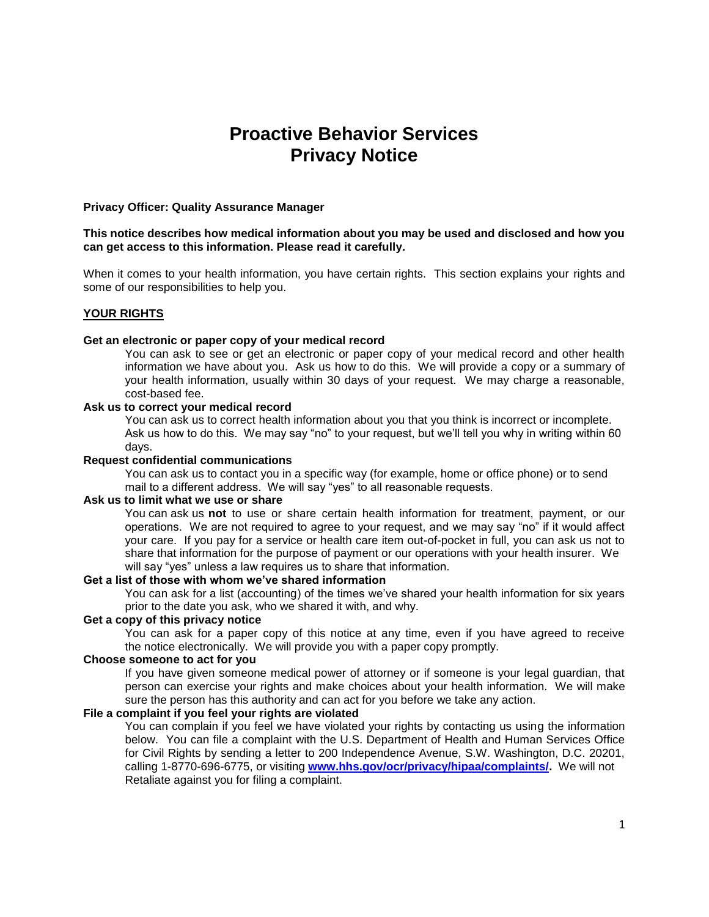# **Proactive Behavior Services Privacy Notice**

# **Privacy Officer: Quality Assurance Manager**

#### **This notice describes how medical information about you may be used and disclosed and how you can get access to this information. Please read it carefully.**

When it comes to your health information, you have certain rights. This section explains your rights and some of our responsibilities to help you.

### **YOUR RIGHTS**

#### **Get an electronic or paper copy of your medical record**

You can ask to see or get an electronic or paper copy of your medical record and other health information we have about you. Ask us how to do this. We will provide a copy or a summary of your health information, usually within 30 days of your request. We may charge a reasonable, cost-based fee.

# **Ask us to correct your medical record**

You can ask us to correct health information about you that you think is incorrect or incomplete. Ask us how to do this. We may say "no" to your request, but we'll tell you why in writing within 60 days.

#### **Request confidential communications**

You can ask us to contact you in a specific way (for example, home or office phone) or to send mail to a different address. We will say "yes" to all reasonable requests.

#### **Ask us to limit what we use or share**

You can ask us **not** to use or share certain health information for treatment, payment, or our operations. We are not required to agree to your request, and we may say "no" if it would affect your care. If you pay for a service or health care item out-of-pocket in full, you can ask us not to share that information for the purpose of payment or our operations with your health insurer. We will say "yes" unless a law requires us to share that information.

# **Get a list of those with whom we've shared information**

You can ask for a list (accounting) of the times we've shared your health information for six years prior to the date you ask, who we shared it with, and why.

### **Get a copy of this privacy notice**

You can ask for a paper copy of this notice at any time, even if you have agreed to receive the notice electronically. We will provide you with a paper copy promptly.

# **Choose someone to act for you**

If you have given someone medical power of attorney or if someone is your legal guardian, that person can exercise your rights and make choices about your health information. We will make sure the person has this authority and can act for you before we take any action.

# **File a complaint if you feel your rights are violated**

You can complain if you feel we have violated your rights by contacting us using the information below. You can file a complaint with the U.S. Department of Health and Human Services Office for Civil Rights by sending a letter to 200 Independence Avenue, S.W. Washington, D.C. 20201, calling 1-8770-696-6775, or visiting **[www.hhs.gov/ocr/privacy/hipaa/complaints/.](http://www.hhs.gov/ocr/privacy/hipaa/complaints/)** We will not Retaliate against you for filing a complaint.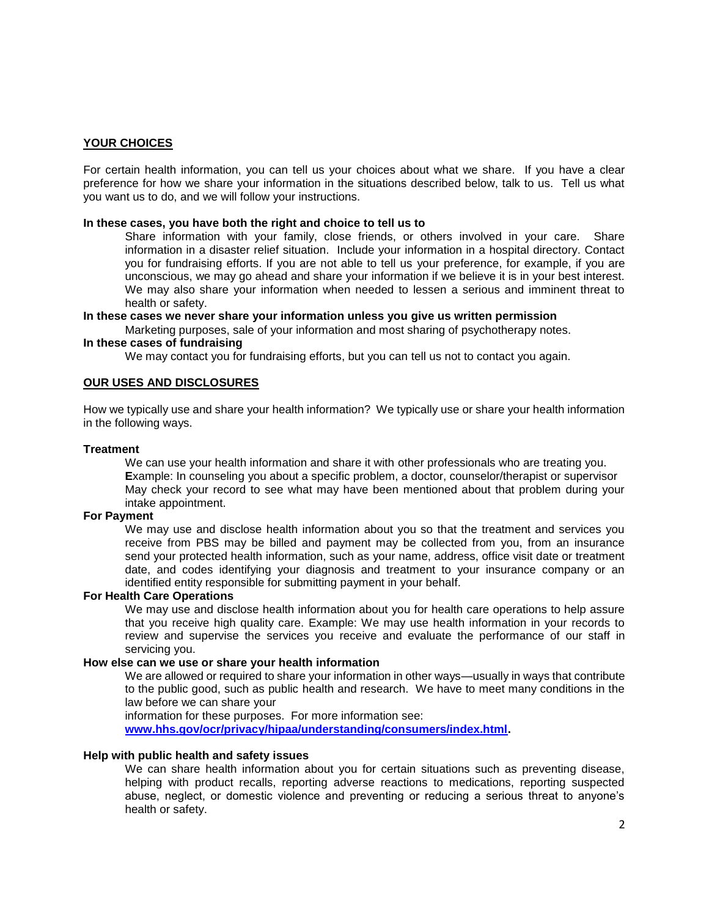# **YOUR CHOICES**

For certain health information, you can tell us your choices about what we share. If you have a clear preference for how we share your information in the situations described below, talk to us. Tell us what you want us to do, and we will follow your instructions.

#### **In these cases, you have both the right and choice to tell us to**

Share information with your family, close friends, or others involved in your care. Share information in a disaster relief situation. Include your information in a hospital directory. Contact you for fundraising efforts. If you are not able to tell us your preference, for example, if you are unconscious, we may go ahead and share your information if we believe it is in your best interest. We may also share your information when needed to lessen a serious and imminent threat to health or safety.

#### **In these cases we never share your information unless you give us written permission**

Marketing purposes, sale of your information and most sharing of psychotherapy notes.

# **In these cases of fundraising**

We may contact you for fundraising efforts, but you can tell us not to contact you again.

### **OUR USES AND DISCLOSURES**

How we typically use and share your health information? We typically use or share your health information in the following ways.

#### **Treatment**

We can use your health information and share it with other professionals who are treating you. **E**xample: In counseling you about a specific problem, a doctor, counselor/therapist or supervisor May check your record to see what may have been mentioned about that problem during your intake appointment.

# **For Payment**

We may use and disclose health information about you so that the treatment and services you receive from PBS may be billed and payment may be collected from you, from an insurance send your protected health information, such as your name, address, office visit date or treatment date, and codes identifying your diagnosis and treatment to your insurance company or an identified entity responsible for submitting payment in your behalf.

#### **For Health Care Operations**

We may use and disclose health information about you for health care operations to help assure that you receive high quality care. Example: We may use health information in your records to review and supervise the services you receive and evaluate the performance of our staff in servicing you.

# **How else can we use or share your health information**

We are allowed or required to share your information in other ways—usually in ways that contribute to the public good, such as public health and research. We have to meet many conditions in the law before we can share your

information for these purposes. For more information see:

**[www.hhs.gov/ocr/privacy/hipaa/understanding/consumers/index.html.](http://www.hhs.gov/ocr/privacy/hipaa/understanding/consumers/index.html)**

#### **Help with public health and safety issues**

We can share health information about you for certain situations such as preventing disease, helping with product recalls, reporting adverse reactions to medications, reporting suspected abuse, neglect, or domestic violence and preventing or reducing a serious threat to anyone's health or safety.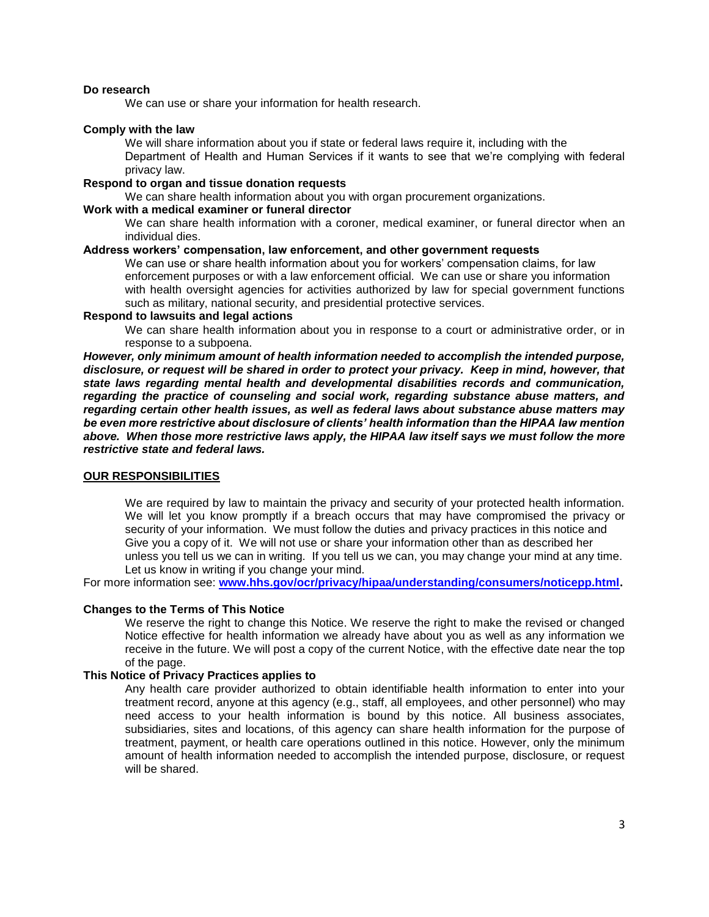# **Do research**

We can use or share your information for health research.

#### **Comply with the law**

We will share information about you if state or federal laws require it, including with the Department of Health and Human Services if it wants to see that we're complying with federal privacy law.

# **Respond to organ and tissue donation requests**

We can share health information about you with organ procurement organizations.

# **Work with a medical examiner or funeral director**

We can share health information with a coroner, medical examiner, or funeral director when an individual dies.

# **Address workers' compensation, law enforcement, and other government requests**

We can use or share health information about you for workers' compensation claims, for law enforcement purposes or with a law enforcement official. We can use or share you information with health oversight agencies for activities authorized by law for special government functions such as military, national security, and presidential protective services.

# **Respond to lawsuits and legal actions**

We can share health information about you in response to a court or administrative order, or in response to a subpoena.

*However, only minimum amount of health information needed to accomplish the intended purpose, disclosure, or request will be shared in order to protect your privacy. Keep in mind, however, that state laws regarding mental health and developmental disabilities records and communication, regarding the practice of counseling and social work, regarding substance abuse matters, and regarding certain other health issues, as well as federal laws about substance abuse matters may be even more restrictive about disclosure of clients' health information than the HIPAA law mention above. When those more restrictive laws apply, the HIPAA law itself says we must follow the more restrictive state and federal laws.*

### **OUR RESPONSIBILITIES**

We are required by law to maintain the privacy and security of your protected health information. We will let you know promptly if a breach occurs that may have compromised the privacy or security of your information. We must follow the duties and privacy practices in this notice and Give you a copy of it. We will not use or share your information other than as described her unless you tell us we can in writing. If you tell us we can, you may change your mind at any time. Let us know in writing if you change your mind.

For more information see: **[www.hhs.gov/ocr/privacy/hipaa/understanding/consumers/noticepp.html.](http://www.hhs.gov/ocr/privacy/hipaa/understanding/consumers/noticepp.html)**

## **Changes to the Terms of This Notice**

We reserve the right to change this Notice. We reserve the right to make the revised or changed Notice effective for health information we already have about you as well as any information we receive in the future. We will post a copy of the current Notice, with the effective date near the top of the page.

#### **This Notice of Privacy Practices applies to**

Any health care provider authorized to obtain identifiable health information to enter into your treatment record, anyone at this agency (e.g., staff, all employees, and other personnel) who may need access to your health information is bound by this notice. All business associates, subsidiaries, sites and locations, of this agency can share health information for the purpose of treatment, payment, or health care operations outlined in this notice. However, only the minimum amount of health information needed to accomplish the intended purpose, disclosure, or request will be shared.